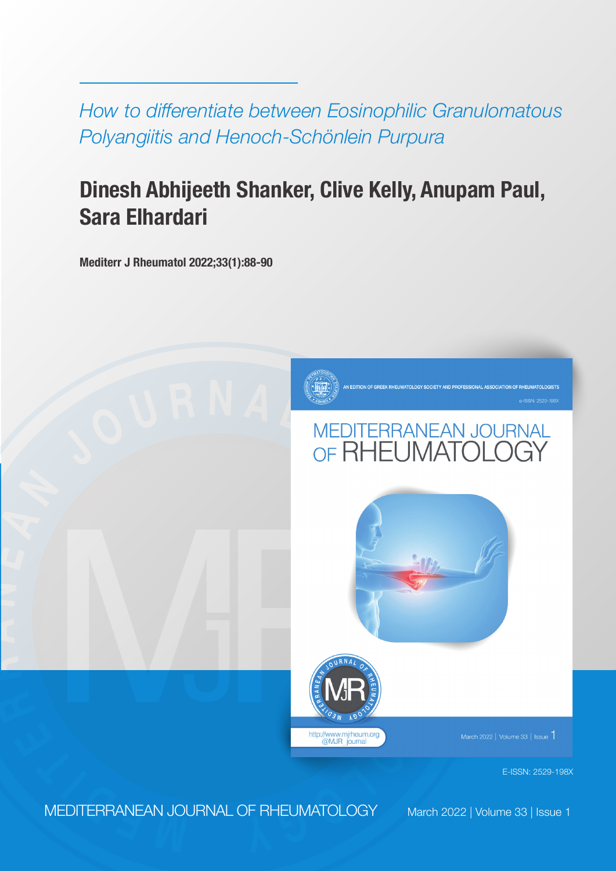*How to differentiate between Eosinophilic Granulomatous Polyangiitis and Henoch-Schönlein Purpura*

# **Dinesh Abhijeeth Shanker, Clive Kelly, Anupam Paul, Sara Elhardari**

**Mediterr J Rheumatol 2022;33(1):88-90**



# **<sup>J</sup> <sup>O</sup> <sup>U</sup> <sup>R</sup> <sup>N</sup> <sup>A</sup> <sup>L</sup> <sup>O</sup> <sup>F</sup>**





March 2022  $|$  Volume 33  $|$  Issue  $\bar{\ }$ 

E-ISSN: 2529-198X

**<sup>E</sup> <sup>M</sup> <sup>D</sup> <sup>I</sup> <sup>T</sup> <sup>E</sup> <sup>R</sup>** MEDITERRANEAN JOURNAL OF RHEUMATOLOGY

**R**

**A**

**N**

**E**

**A N**

March 2022 | Volume 33 | Issue 1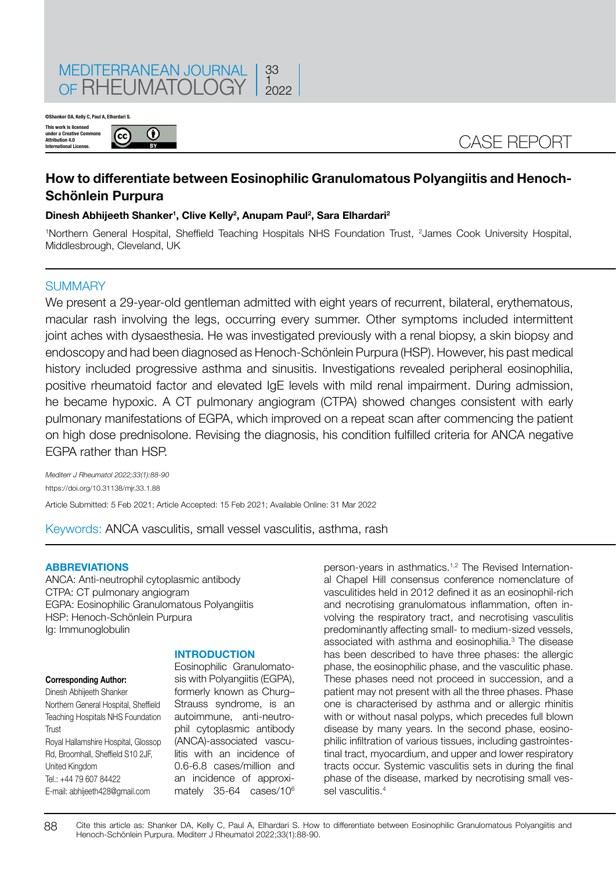

 $\bigcirc$ 

 $(cc)$ 

**©Shanker DA, Kelly C, Paul A, Elhardari S.**



# **How to differentiate between Eosinophilic Granulomatous Polyangiitis and Henoch-Schönlein Purpura**

# **Dinesh Abhijeeth Shanker1 , Clive Kelly2 , Anupam Paul2 , Sara Elhardari2**

<sup>1</sup>Northern General Hospital, Sheffield Teaching Hospitals NHS Foundation Trust, <sup>2</sup>James Cook University Hospital, Middlesbrough, Cleveland, UK

# **SUMMARY**

We present a 29-year-old gentleman admitted with eight years of recurrent, bilateral, erythematous, macular rash involving the legs, occurring every summer. Other symptoms included intermittent joint aches with dysaesthesia. He was investigated previously with a renal biopsy, a skin biopsy and endoscopy and had been diagnosed as Henoch-Schönlein Purpura (HSP). However, his past medical history included progressive asthma and sinusitis. Investigations revealed peripheral eosinophilia, positive rheumatoid factor and elevated IgE levels with mild renal impairment. During admission, he became hypoxic. A CT pulmonary angiogram (CTPA) showed changes consistent with early pulmonary manifestations of EGPA, which improved on a repeat scan after commencing the patient on high dose prednisolone. Revising the diagnosis, his condition fulfilled criteria for ANCA negative EGPA rather than HSP.

*Mediterr J Rheumatol 2022;33(1):88-90* https://doi.org/10.31138/mjr.33.1.88 Article Submitted: 5 Feb 2021; Article Accepted: 15 Feb 2021; Available Online: 31 Mar 2022

Keywords: ANCA vasculitis, small vessel vasculitis, asthma, rash

#### **ABBREVIATIONS**

ANCA: Anti-neutrophil cytoplasmic antibody CTPA: CT pulmonary angiogram EGPA: Eosinophilic Granulomatous Polyangiitis HSP: Henoch-Schönlein Purpura Ig: Immunoglobulin

#### **Corresponding Author:**

Dinesh Abhijeeth Shanker Northern General Hospital, Sheffield Teaching Hospitals NHS Foundation **Trust** Royal Hallamshire Hospital, Glossop Rd, Broomhall, Sheffield S10 2JF, United Kingdom Tel.: +44 79 607 84422 E-mail: abhijeeth428@gmail.com

# **INTRODUCTION**

Eosinophilic Granulomatosis with Polvangiitis (EGPA). formerly known as Churg– Strauss syndrome, is an autoimmune, anti-neutrophil cytoplasmic antibody (ANCA)-associated vasculitis with an incidence of 0.6-6.8 cases/million and an incidence of approximately 35-64 cases/10<sup>6</sup>

person-years in asthmatics.<sup>1,2</sup> The Revised International Chapel Hill consensus conference nomenclature of vasculitides held in 2012 defined it as an eosinophil-rich and necrotising granulomatous inflammation, often involving the respiratory tract, and necrotising vasculitis predominantly affecting small- to medium-sized vessels, associated with asthma and eosinophilia.<sup>3</sup> The disease has been described to have three phases: the allergic phase, the eosinophilic phase, and the vasculitic phase. These phases need not proceed in succession, and a patient may not present with all the three phases. Phase one is characterised by asthma and or allergic rhinitis with or without nasal polyps, which precedes full blown disease by many years. In the second phase, eosinophilic infiltration of various tissues, including gastrointestinal tract, myocardium, and upper and lower respiratory tracts occur. Systemic vasculitis sets in during the final phase of the disease, marked by necrotising small vessel vasculitis.4

88 Cite this article as: Shanker DA, Kelly C, Paul A, Elhardari S. How to differentiate between Eosinophilic Granulomatous Polyangiitis and Henoch-Schönlein Purpura. Mediterr J Rheumatol 2022;33(1):88-90.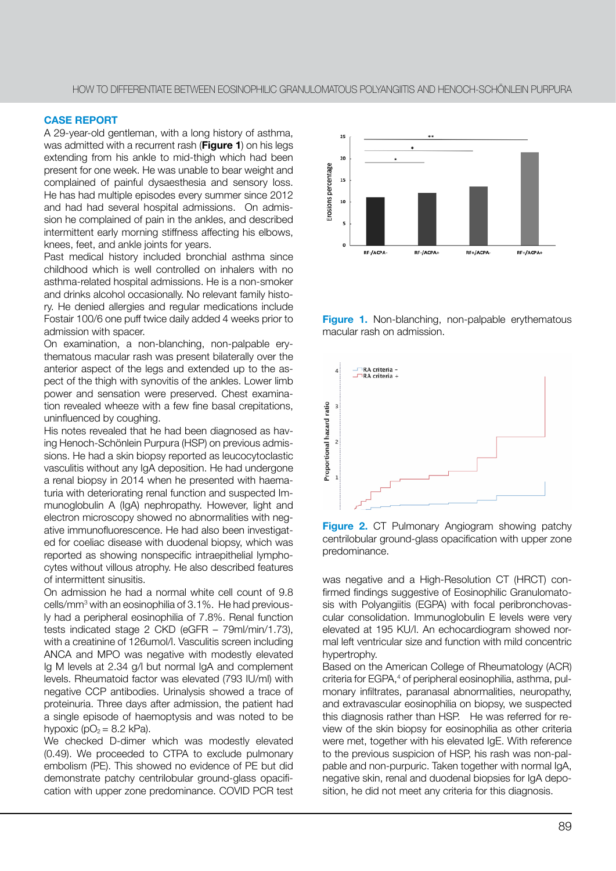# **CASE REPORT**

A 29-year-old gentleman, with a long history of asthma, was admitted with a recurrent rash (**Figure 1**) on his legs extending from his ankle to mid-thigh which had been present for one week. He was unable to bear weight and complained of painful dysaesthesia and sensory loss. He has had multiple episodes every summer since 2012 and had had several hospital admissions. On admission he complained of pain in the ankles, and described intermittent early morning stiffness affecting his elbows, knees, feet, and ankle joints for years.

Past medical history included bronchial asthma since childhood which is well controlled on inhalers with no asthma-related hospital admissions. He is a non-smoker and drinks alcohol occasionally. No relevant family history. He denied allergies and regular medications include Fostair 100/6 one puff twice daily added 4 weeks prior to admission with spacer.

On examination, a non-blanching, non-palpable erythematous macular rash was present bilaterally over the anterior aspect of the legs and extended up to the aspect of the thigh with synovitis of the ankles. Lower limb power and sensation were preserved. Chest examination revealed wheeze with a few fine basal crepitations, uninfluenced by coughing.

His notes revealed that he had been diagnosed as having Henoch-Schönlein Purpura (HSP) on previous admissions. He had a skin biopsy reported as leucocytoclastic vasculitis without any IgA deposition. He had undergone a renal biopsy in 2014 when he presented with haematuria with deteriorating renal function and suspected Immunoglobulin A (IgA) nephropathy. However, light and electron microscopy showed no abnormalities with negative immunofluorescence. He had also been investigated for coeliac disease with duodenal biopsy, which was reported as showing nonspecific intraepithelial lymphocytes without villous atrophy. He also described features of intermittent sinusitis.

On admission he had a normal white cell count of 9.8 cells/mm3 with an eosinophilia of 3.1%. He had previously had a peripheral eosinophilia of 7.8%. Renal function tests indicated stage 2 CKD (eGFR – 79ml/min/1.73), with a creatinine of 126umol/l. Vasculitis screen including ANCA and MPO was negative with modestly elevated Ig M levels at 2.34 g/l but normal IgA and complement levels. Rheumatoid factor was elevated (793 IU/ml) with negative CCP antibodies. Urinalysis showed a trace of proteinuria. Three days after admission, the patient had a single episode of haemoptysis and was noted to be hypoxic ( $pO<sub>2</sub> = 8.2$  kPa).

We checked D-dimer which was modestly elevated (0.49). We proceeded to CTPA to exclude pulmonary embolism (PE). This showed no evidence of PE but did demonstrate patchy centrilobular ground-glass opacification with upper zone predominance. COVID PCR test



Figure 1. Non-blanching, non-palpable erythematous macular rash on admission.



**Figure 2.** CT Pulmonary Angiogram showing patchy centrilobular ground-glass opacification with upper zone predominance.

was negative and a High-Resolution CT (HRCT) confirmed findings suggestive of Eosinophilic Granulomatosis with Polyangiitis (EGPA) with focal peribronchovascular consolidation. Immunoglobulin E levels were very elevated at 195 KU/l. An echocardiogram showed normal left ventricular size and function with mild concentric hypertrophy.

Based on the American College of Rheumatology (ACR) criteria for EGPA,<sup>4</sup> of peripheral eosinophilia, asthma, pulmonary infiltrates, paranasal abnormalities, neuropathy, and extravascular eosinophilia on biopsy, we suspected this diagnosis rather than HSP. He was referred for review of the skin biopsy for eosinophilia as other criteria were met, together with his elevated IgE. With reference to the previous suspicion of HSP, his rash was non-palpable and non-purpuric. Taken together with normal IgA, negative skin, renal and duodenal biopsies for IgA deposition, he did not meet any criteria for this diagnosis.